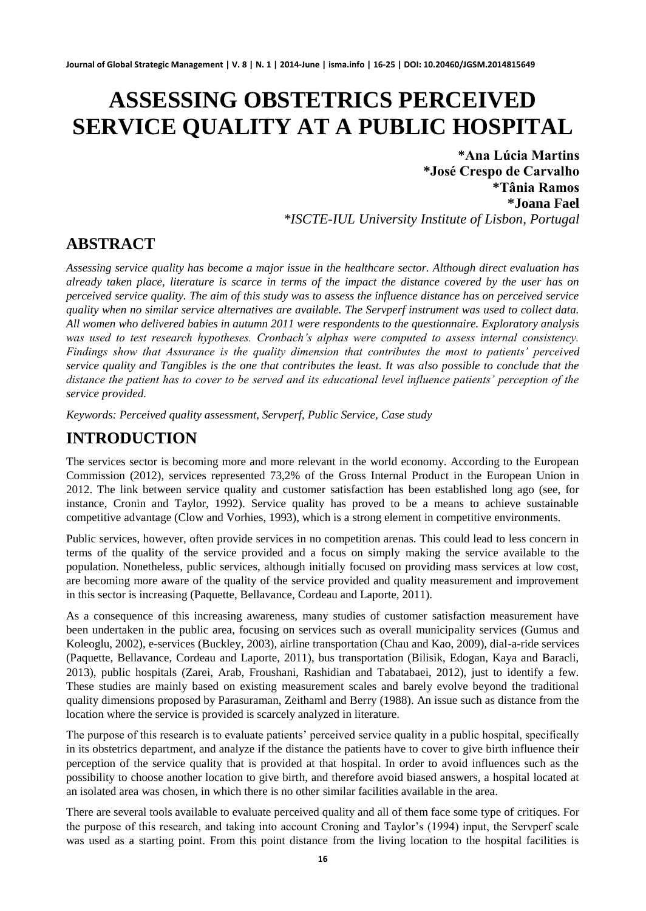# **ASSESSING OBSTETRICS PERCEIVED SERVICE QUALITY AT A PUBLIC HOSPITAL**

**\*Ana Lúcia Martins \*José Crespo de Carvalho \*Tânia Ramos \*Joana Fael** *\*ISCTE-IUL University Institute of Lisbon, Portugal*

# **ABSTRACT**

*Assessing service quality has become a major issue in the healthcare sector. Although direct evaluation has already taken place, literature is scarce in terms of the impact the distance covered by the user has on perceived service quality. The aim of this study was to assess the influence distance has on perceived service quality when no similar service alternatives are available. The Servperf instrument was used to collect data. All women who delivered babies in autumn 2011 were respondents to the questionnaire. Exploratory analysis was used to test research hypotheses. Cronbach's alphas were computed to assess internal consistency. Findings show that Assurance is the quality dimension that contributes the most to patients' perceived service quality and Tangibles is the one that contributes the least. It was also possible to conclude that the distance the patient has to cover to be served and its educational level influence patients' perception of the service provided.* 

*Keywords: Perceived quality assessment, Servperf, Public Service, Case study* 

# **INTRODUCTION**

The services sector is becoming more and more relevant in the world economy. According to the European Commission (2012), services represented 73,2% of the Gross Internal Product in the European Union in 2012. The link between service quality and customer satisfaction has been established long ago (see, for instance, Cronin and Taylor, 1992). Service quality has proved to be a means to achieve sustainable competitive advantage (Clow and Vorhies, 1993), which is a strong element in competitive environments.

Public services, however, often provide services in no competition arenas. This could lead to less concern in terms of the quality of the service provided and a focus on simply making the service available to the population. Nonetheless, public services, although initially focused on providing mass services at low cost, are becoming more aware of the quality of the service provided and quality measurement and improvement in this sector is increasing (Paquette, Bellavance, Cordeau and Laporte, 2011).

As a consequence of this increasing awareness, many studies of customer satisfaction measurement have been undertaken in the public area, focusing on services such as overall municipality services (Gumus and Koleoglu, 2002), e-services (Buckley, 2003), airline transportation (Chau and Kao, 2009), dial-a-ride services (Paquette, Bellavance, Cordeau and Laporte, 2011), bus transportation (Bilisik, Edogan, Kaya and Baracli, 2013), public hospitals (Zarei, Arab, Froushani, Rashidian and Tabatabaei, 2012), just to identify a few. These studies are mainly based on existing measurement scales and barely evolve beyond the traditional quality dimensions proposed by Parasuraman, Zeithaml and Berry (1988). An issue such as distance from the location where the service is provided is scarcely analyzed in literature.

The purpose of this research is to evaluate patients' perceived service quality in a public hospital, specifically in its obstetrics department, and analyze if the distance the patients have to cover to give birth influence their perception of the service quality that is provided at that hospital. In order to avoid influences such as the possibility to choose another location to give birth, and therefore avoid biased answers, a hospital located at an isolated area was chosen, in which there is no other similar facilities available in the area.

There are several tools available to evaluate perceived quality and all of them face some type of critiques. For the purpose of this research, and taking into account Croning and Taylor's (1994) input, the Servperf scale was used as a starting point. From this point distance from the living location to the hospital facilities is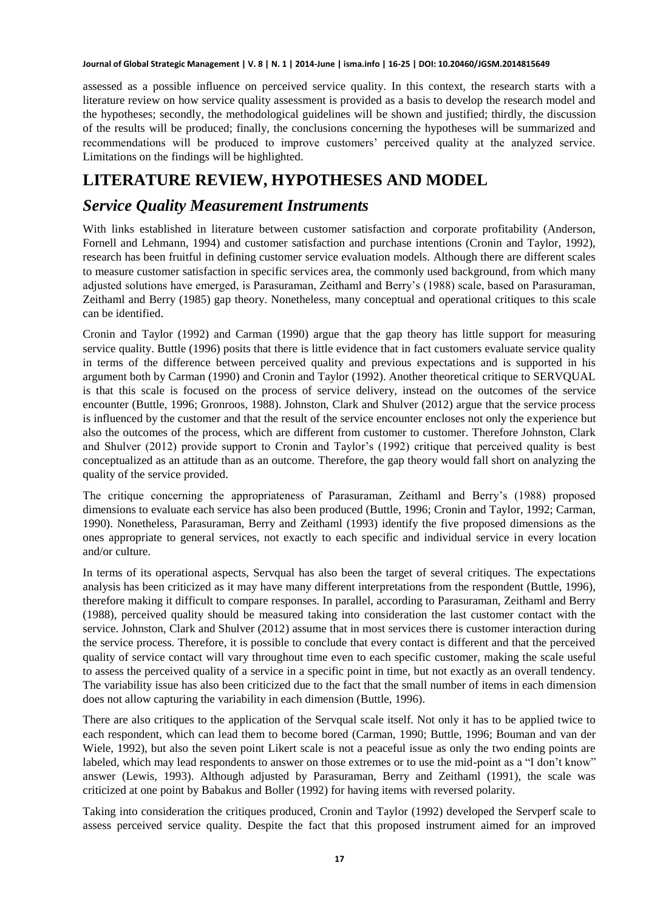assessed as a possible influence on perceived service quality. In this context, the research starts with a literature review on how service quality assessment is provided as a basis to develop the research model and the hypotheses; secondly, the methodological guidelines will be shown and justified; thirdly, the discussion of the results will be produced; finally, the conclusions concerning the hypotheses will be summarized and recommendations will be produced to improve customers' perceived quality at the analyzed service. Limitations on the findings will be highlighted.

# **LITERATURE REVIEW, HYPOTHESES AND MODEL**

#### *Service Quality Measurement Instruments*

With links established in literature between customer satisfaction and corporate profitability (Anderson, Fornell and Lehmann, 1994) and customer satisfaction and purchase intentions (Cronin and Taylor, 1992), research has been fruitful in defining customer service evaluation models. Although there are different scales to measure customer satisfaction in specific services area, the commonly used background, from which many adjusted solutions have emerged, is Parasuraman, Zeithaml and Berry's (1988) scale, based on Parasuraman, Zeithaml and Berry (1985) gap theory. Nonetheless, many conceptual and operational critiques to this scale can be identified.

Cronin and Taylor (1992) and Carman (1990) argue that the gap theory has little support for measuring service quality. Buttle (1996) posits that there is little evidence that in fact customers evaluate service quality in terms of the difference between perceived quality and previous expectations and is supported in his argument both by Carman (1990) and Cronin and Taylor (1992). Another theoretical critique to SERVQUAL is that this scale is focused on the process of service delivery, instead on the outcomes of the service encounter (Buttle, 1996; Gronroos, 1988). Johnston, Clark and Shulver (2012) argue that the service process is influenced by the customer and that the result of the service encounter encloses not only the experience but also the outcomes of the process, which are different from customer to customer. Therefore Johnston, Clark and Shulver (2012) provide support to Cronin and Taylor's (1992) critique that perceived quality is best conceptualized as an attitude than as an outcome. Therefore, the gap theory would fall short on analyzing the quality of the service provided.

The critique concerning the appropriateness of Parasuraman, Zeithaml and Berry's (1988) proposed dimensions to evaluate each service has also been produced (Buttle, 1996; Cronin and Taylor, 1992; Carman, 1990). Nonetheless, Parasuraman, Berry and Zeithaml (1993) identify the five proposed dimensions as the ones appropriate to general services, not exactly to each specific and individual service in every location and/or culture.

In terms of its operational aspects, Servqual has also been the target of several critiques. The expectations analysis has been criticized as it may have many different interpretations from the respondent (Buttle, 1996), therefore making it difficult to compare responses. In parallel, according to Parasuraman, Zeithaml and Berry (1988), perceived quality should be measured taking into consideration the last customer contact with the service. Johnston, Clark and Shulver (2012) assume that in most services there is customer interaction during the service process. Therefore, it is possible to conclude that every contact is different and that the perceived quality of service contact will vary throughout time even to each specific customer, making the scale useful to assess the perceived quality of a service in a specific point in time, but not exactly as an overall tendency. The variability issue has also been criticized due to the fact that the small number of items in each dimension does not allow capturing the variability in each dimension (Buttle, 1996).

There are also critiques to the application of the Servqual scale itself. Not only it has to be applied twice to each respondent, which can lead them to become bored (Carman, 1990; Buttle, 1996; Bouman and van der Wiele, 1992), but also the seven point Likert scale is not a peaceful issue as only the two ending points are labeled, which may lead respondents to answer on those extremes or to use the mid-point as a "I don't know" answer (Lewis, 1993). Although adjusted by Parasuraman, Berry and Zeithaml (1991), the scale was criticized at one point by Babakus and Boller (1992) for having items with reversed polarity.

Taking into consideration the critiques produced, Cronin and Taylor (1992) developed the Servperf scale to assess perceived service quality. Despite the fact that this proposed instrument aimed for an improved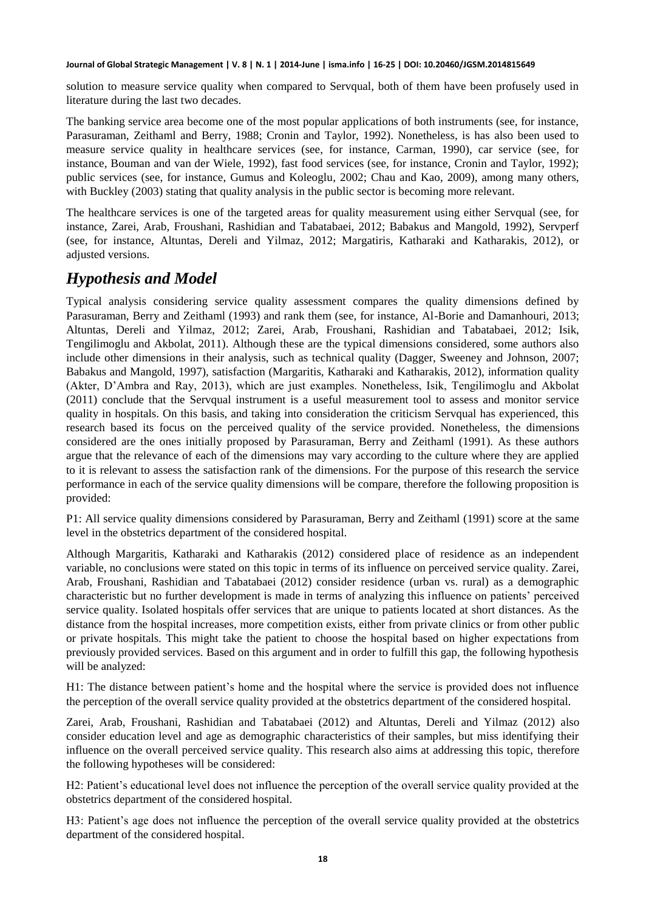solution to measure service quality when compared to Servqual, both of them have been profusely used in literature during the last two decades.

The banking service area become one of the most popular applications of both instruments (see, for instance, Parasuraman, Zeithaml and Berry, 1988; Cronin and Taylor, 1992). Nonetheless, is has also been used to measure service quality in healthcare services (see, for instance, Carman, 1990), car service (see, for instance, Bouman and van der Wiele, 1992), fast food services (see, for instance, Cronin and Taylor, 1992); public services (see, for instance, Gumus and Koleoglu, 2002; Chau and Kao, 2009), among many others, with Buckley (2003) stating that quality analysis in the public sector is becoming more relevant.

The healthcare services is one of the targeted areas for quality measurement using either Servqual (see, for instance, Zarei, Arab, Froushani, Rashidian and Tabatabaei, 2012; Babakus and Mangold, 1992), Servperf (see, for instance, Altuntas, Dereli and Yilmaz, 2012; Margatiris, Katharaki and Katharakis, 2012), or adjusted versions.

### *Hypothesis and Model*

Typical analysis considering service quality assessment compares the quality dimensions defined by Parasuraman, Berry and Zeithaml (1993) and rank them (see, for instance, Al-Borie and Damanhouri, 2013; Altuntas, Dereli and Yilmaz, 2012; Zarei, Arab, Froushani, Rashidian and Tabatabaei, 2012; Isik, Tengilimoglu and Akbolat, 2011). Although these are the typical dimensions considered, some authors also include other dimensions in their analysis, such as technical quality (Dagger, Sweeney and Johnson, 2007; Babakus and Mangold, 1997), satisfaction (Margaritis, Katharaki and Katharakis, 2012), information quality (Akter, D'Ambra and Ray, 2013), which are just examples. Nonetheless, Isik, Tengilimoglu and Akbolat (2011) conclude that the Servqual instrument is a useful measurement tool to assess and monitor service quality in hospitals. On this basis, and taking into consideration the criticism Servqual has experienced, this research based its focus on the perceived quality of the service provided. Nonetheless, the dimensions considered are the ones initially proposed by Parasuraman, Berry and Zeithaml (1991). As these authors argue that the relevance of each of the dimensions may vary according to the culture where they are applied to it is relevant to assess the satisfaction rank of the dimensions. For the purpose of this research the service performance in each of the service quality dimensions will be compare, therefore the following proposition is provided:

P1: All service quality dimensions considered by Parasuraman, Berry and Zeithaml (1991) score at the same level in the obstetrics department of the considered hospital.

Although Margaritis, Katharaki and Katharakis (2012) considered place of residence as an independent variable, no conclusions were stated on this topic in terms of its influence on perceived service quality. Zarei, Arab, Froushani, Rashidian and Tabatabaei (2012) consider residence (urban vs. rural) as a demographic characteristic but no further development is made in terms of analyzing this influence on patients' perceived service quality. Isolated hospitals offer services that are unique to patients located at short distances. As the distance from the hospital increases, more competition exists, either from private clinics or from other public or private hospitals. This might take the patient to choose the hospital based on higher expectations from previously provided services. Based on this argument and in order to fulfill this gap, the following hypothesis will be analyzed:

H1: The distance between patient's home and the hospital where the service is provided does not influence the perception of the overall service quality provided at the obstetrics department of the considered hospital.

Zarei, Arab, Froushani, Rashidian and Tabatabaei (2012) and Altuntas, Dereli and Yilmaz (2012) also consider education level and age as demographic characteristics of their samples, but miss identifying their influence on the overall perceived service quality. This research also aims at addressing this topic, therefore the following hypotheses will be considered:

H2: Patient's educational level does not influence the perception of the overall service quality provided at the obstetrics department of the considered hospital.

H3: Patient's age does not influence the perception of the overall service quality provided at the obstetrics department of the considered hospital.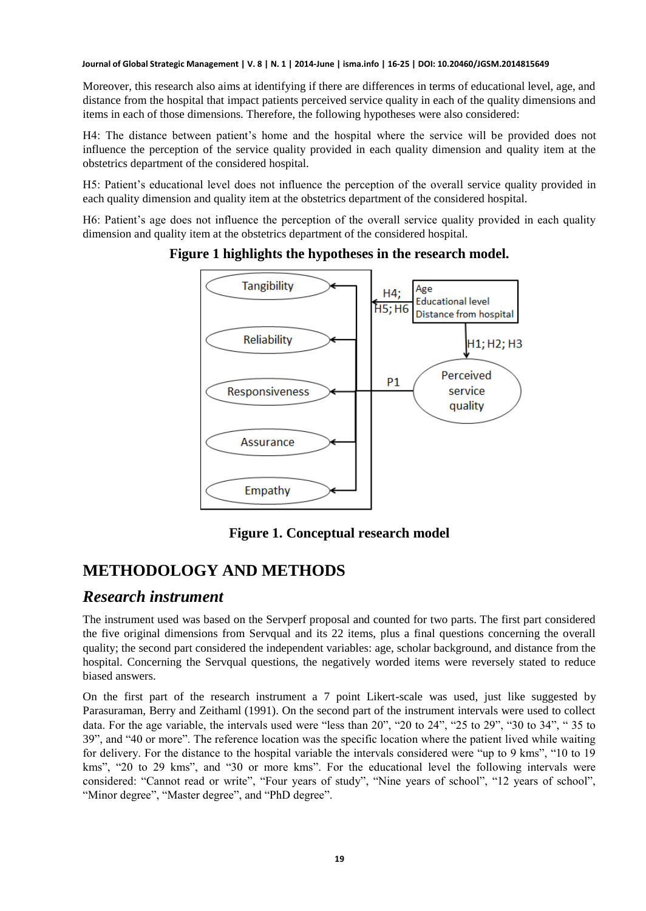Moreover, this research also aims at identifying if there are differences in terms of educational level, age, and distance from the hospital that impact patients perceived service quality in each of the quality dimensions and items in each of those dimensions. Therefore, the following hypotheses were also considered:

H4: The distance between patient's home and the hospital where the service will be provided does not influence the perception of the service quality provided in each quality dimension and quality item at the obstetrics department of the considered hospital.

H5: Patient's educational level does not influence the perception of the overall service quality provided in each quality dimension and quality item at the obstetrics department of the considered hospital.

H6: Patient's age does not influence the perception of the overall service quality provided in each quality dimension and quality item at the obstetrics department of the considered hospital.



**Figure 1 highlights the hypotheses in the research model.** 

**Figure 1. Conceptual research model** 

# **METHODOLOGY AND METHODS**

#### *Research instrument*

The instrument used was based on the Servperf proposal and counted for two parts. The first part considered the five original dimensions from Servqual and its 22 items, plus a final questions concerning the overall quality; the second part considered the independent variables: age, scholar background, and distance from the hospital. Concerning the Servqual questions, the negatively worded items were reversely stated to reduce biased answers.

On the first part of the research instrument a 7 point Likert-scale was used, just like suggested by Parasuraman, Berry and Zeithaml (1991). On the second part of the instrument intervals were used to collect data. For the age variable, the intervals used were "less than 20", "20 to 24", "25 to 29", "30 to 34", " 35 to 39", and "40 or more". The reference location was the specific location where the patient lived while waiting for delivery. For the distance to the hospital variable the intervals considered were "up to 9 kms", "10 to 19 kms", "20 to 29 kms", and "30 or more kms". For the educational level the following intervals were considered: "Cannot read or write", "Four years of study", "Nine years of school", "12 years of school", "Minor degree", "Master degree", and "PhD degree".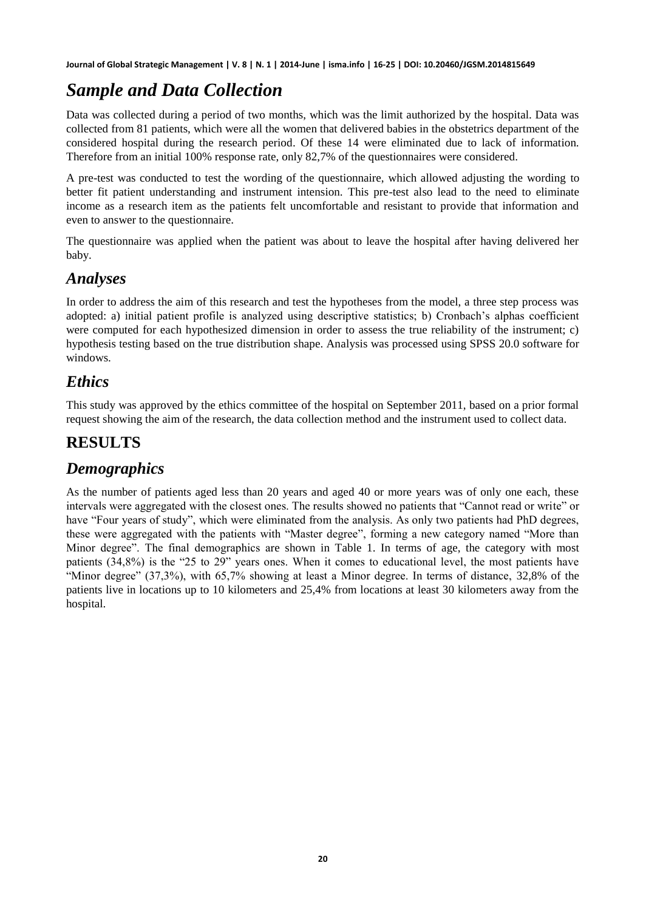# *Sample and Data Collection*

Data was collected during a period of two months, which was the limit authorized by the hospital. Data was collected from 81 patients, which were all the women that delivered babies in the obstetrics department of the considered hospital during the research period. Of these 14 were eliminated due to lack of information. Therefore from an initial 100% response rate, only 82,7% of the questionnaires were considered.

A pre-test was conducted to test the wording of the questionnaire, which allowed adjusting the wording to better fit patient understanding and instrument intension. This pre-test also lead to the need to eliminate income as a research item as the patients felt uncomfortable and resistant to provide that information and even to answer to the questionnaire.

The questionnaire was applied when the patient was about to leave the hospital after having delivered her baby.

### *Analyses*

In order to address the aim of this research and test the hypotheses from the model, a three step process was adopted: a) initial patient profile is analyzed using descriptive statistics; b) Cronbach's alphas coefficient were computed for each hypothesized dimension in order to assess the true reliability of the instrument; c) hypothesis testing based on the true distribution shape. Analysis was processed using SPSS 20.0 software for windows.

### *Ethics*

This study was approved by the ethics committee of the hospital on September 2011, based on a prior formal request showing the aim of the research, the data collection method and the instrument used to collect data.

# **RESULTS**

### *Demographics*

As the number of patients aged less than 20 years and aged 40 or more years was of only one each, these intervals were aggregated with the closest ones. The results showed no patients that "Cannot read or write" or have "Four years of study", which were eliminated from the analysis. As only two patients had PhD degrees, these were aggregated with the patients with "Master degree", forming a new category named "More than Minor degree". The final demographics are shown in Table 1. In terms of age, the category with most patients (34,8%) is the "25 to 29" years ones. When it comes to educational level, the most patients have "Minor degree" (37,3%), with 65,7% showing at least a Minor degree. In terms of distance, 32,8% of the patients live in locations up to 10 kilometers and 25,4% from locations at least 30 kilometers away from the hospital.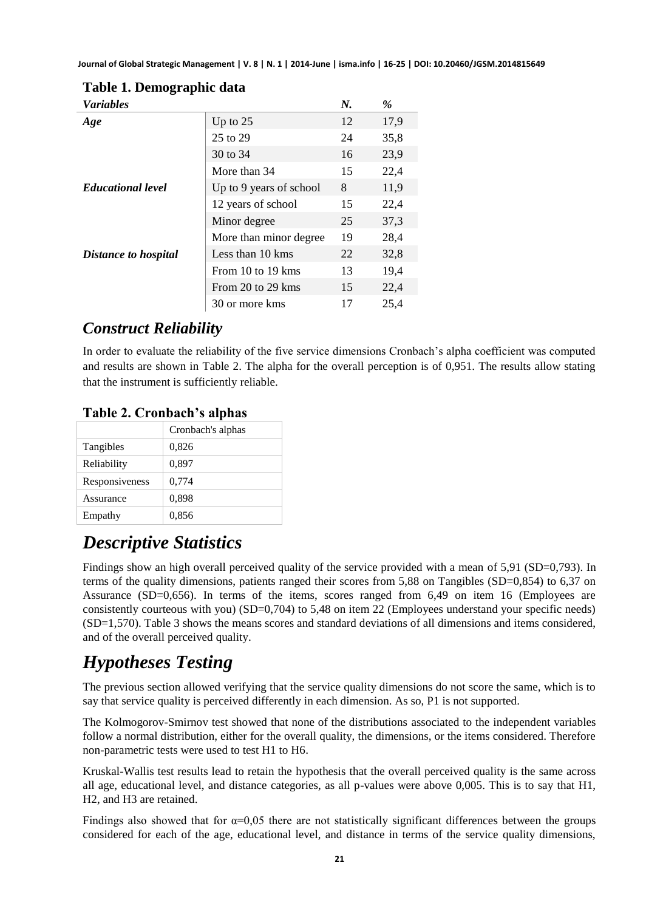| <b>Variables</b>         |                         | N. | %    |
|--------------------------|-------------------------|----|------|
| Age                      | Up to $25$              | 12 | 17.9 |
|                          | 25 to 29                | 24 | 35,8 |
|                          | 30 to 34                | 16 | 23,9 |
|                          | More than 34            | 15 | 22,4 |
| <b>Educational level</b> | Up to 9 years of school | 8  | 11,9 |
|                          | 12 years of school      | 15 | 22,4 |
|                          | Minor degree            | 25 | 37,3 |
|                          | More than minor degree. | 19 | 28,4 |
| Distance to hospital     | Less than 10 kms        | 22 | 32,8 |
|                          | From 10 to 19 kms       | 13 | 19,4 |
|                          | From 20 to 29 kms       | 15 | 22,4 |
|                          | 30 or more kms          | 17 | 25,4 |

#### **Table 1. Demographic data**

# *Construct Reliability*

In order to evaluate the reliability of the five service dimensions Cronbach's alpha coefficient was computed and results are shown in Table 2. The alpha for the overall perception is of 0,951. The results allow stating that the instrument is sufficiently reliable.

#### **Table 2. Cronbach's alphas**

|                | Cronbach's alphas |
|----------------|-------------------|
| Tangibles      | 0,826             |
| Reliability    | 0,897             |
| Responsiveness | 0,774             |
| Assurance      | 0.898             |
| Empathy        | 0,856             |

# *Descriptive Statistics*

Findings show an high overall perceived quality of the service provided with a mean of 5,91 (SD=0,793). In terms of the quality dimensions, patients ranged their scores from 5,88 on Tangibles (SD=0,854) to 6,37 on Assurance (SD=0,656). In terms of the items, scores ranged from 6,49 on item 16 (Employees are consistently courteous with you) (SD=0,704) to 5,48 on item 22 (Employees understand your specific needs) (SD=1,570). Table 3 shows the means scores and standard deviations of all dimensions and items considered, and of the overall perceived quality.

# *Hypotheses Testing*

The previous section allowed verifying that the service quality dimensions do not score the same, which is to say that service quality is perceived differently in each dimension. As so, P1 is not supported.

The Kolmogorov-Smirnov test showed that none of the distributions associated to the independent variables follow a normal distribution, either for the overall quality, the dimensions, or the items considered. Therefore non-parametric tests were used to test H1 to H6.

Kruskal-Wallis test results lead to retain the hypothesis that the overall perceived quality is the same across all age, educational level, and distance categories, as all p-values were above 0,005. This is to say that H1, H2, and H3 are retained.

Findings also showed that for  $\alpha=0.05$  there are not statistically significant differences between the groups considered for each of the age, educational level, and distance in terms of the service quality dimensions,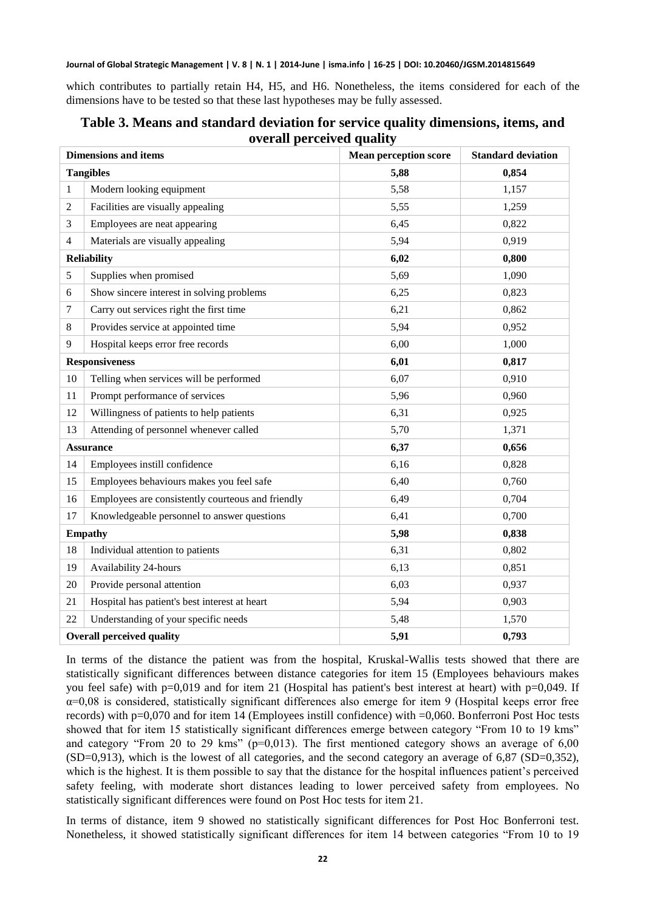which contributes to partially retain H4, H5, and H6. Nonetheless, the items considered for each of the dimensions have to be tested so that these last hypotheses may be fully assessed.

|    | <b>Dimensions and items</b>                       | <b>Mean perception score</b> | <b>Standard deviation</b> |
|----|---------------------------------------------------|------------------------------|---------------------------|
|    | <b>Tangibles</b>                                  | 5,88                         | 0,854                     |
| 1  | Modern looking equipment                          | 5,58                         | 1,157                     |
| 2  | Facilities are visually appealing                 | 5,55                         | 1,259                     |
| 3  | Employees are neat appearing                      | 6,45                         | 0,822                     |
| 4  | Materials are visually appealing                  | 5,94                         | 0,919                     |
|    | <b>Reliability</b>                                | 6,02                         | 0,800                     |
| 5  | Supplies when promised                            | 5,69                         | 1,090                     |
| 6  | Show sincere interest in solving problems         | 6,25                         | 0,823                     |
| 7  | Carry out services right the first time           | 6,21                         | 0,862                     |
| 8  | Provides service at appointed time                | 5,94                         | 0,952                     |
| 9  | Hospital keeps error free records                 | 6,00                         | 1,000                     |
|    | <b>Responsiveness</b>                             | 6,01                         | 0,817                     |
| 10 | Telling when services will be performed           | 6,07                         | 0,910                     |
| 11 | Prompt performance of services                    | 5,96                         | 0,960                     |
| 12 | Willingness of patients to help patients          | 6,31                         | 0,925                     |
| 13 | Attending of personnel whenever called            | 5,70                         | 1,371                     |
|    | <b>Assurance</b>                                  | 6,37                         | 0,656                     |
| 14 | Employees instill confidence                      | 6,16                         | 0,828                     |
| 15 | Employees behaviours makes you feel safe          | 6,40                         | 0,760                     |
| 16 | Employees are consistently courteous and friendly | 6,49                         | 0,704                     |
| 17 | Knowledgeable personnel to answer questions       | 6,41                         | 0,700                     |
|    | <b>Empathy</b>                                    | 5,98                         | 0,838                     |
| 18 | Individual attention to patients                  | 6,31                         | 0,802                     |
| 19 | Availability 24-hours                             | 6,13                         | 0,851                     |
| 20 | Provide personal attention                        | 6,03                         | 0,937                     |
| 21 | Hospital has patient's best interest at heart     | 5,94                         | 0,903                     |
| 22 | Understanding of your specific needs              | 5,48                         | 1,570                     |
|    | <b>Overall perceived quality</b>                  | 5,91                         | 0,793                     |

**Table 3. Means and standard deviation for service quality dimensions, items, and overall perceived quality** 

In terms of the distance the patient was from the hospital, Kruskal-Wallis tests showed that there are statistically significant differences between distance categories for item 15 (Employees behaviours makes you feel safe) with p=0,019 and for item 21 (Hospital has patient's best interest at heart) with p=0,049. If  $\alpha$ =0,08 is considered, statistically significant differences also emerge for item 9 (Hospital keeps error free records) with p=0,070 and for item 14 (Employees instill confidence) with =0,060. Bonferroni Post Hoc tests showed that for item 15 statistically significant differences emerge between category "From 10 to 19 kms" and category "From 20 to 29 kms" ( $p=0.013$ ). The first mentioned category shows an average of 6,00 (SD=0,913), which is the lowest of all categories, and the second category an average of 6,87 (SD=0,352), which is the highest. It is them possible to say that the distance for the hospital influences patient's perceived safety feeling, with moderate short distances leading to lower perceived safety from employees. No statistically significant differences were found on Post Hoc tests for item 21.

In terms of distance, item 9 showed no statistically significant differences for Post Hoc Bonferroni test. Nonetheless, it showed statistically significant differences for item 14 between categories "From 10 to 19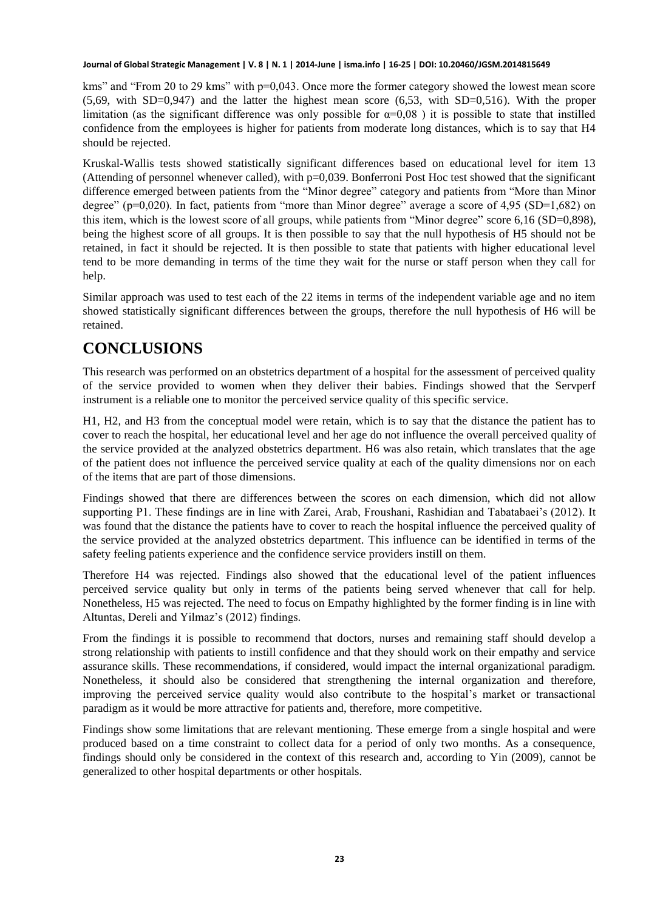kms" and "From 20 to 29 kms" with p=0,043. Once more the former category showed the lowest mean score (5,69, with SD=0,947) and the latter the highest mean score (6,53, with SD=0,516). With the proper limitation (as the significant difference was only possible for  $\alpha=0.08$ ) it is possible to state that instilled confidence from the employees is higher for patients from moderate long distances, which is to say that H4 should be rejected.

Kruskal-Wallis tests showed statistically significant differences based on educational level for item 13 (Attending of personnel whenever called), with p=0,039. Bonferroni Post Hoc test showed that the significant difference emerged between patients from the "Minor degree" category and patients from "More than Minor degree" (p=0,020). In fact, patients from "more than Minor degree" average a score of 4,95 (SD=1,682) on this item, which is the lowest score of all groups, while patients from "Minor degree" score 6,16 (SD=0,898), being the highest score of all groups. It is then possible to say that the null hypothesis of H5 should not be retained, in fact it should be rejected. It is then possible to state that patients with higher educational level tend to be more demanding in terms of the time they wait for the nurse or staff person when they call for help.

Similar approach was used to test each of the 22 items in terms of the independent variable age and no item showed statistically significant differences between the groups, therefore the null hypothesis of H6 will be retained.

### **CONCLUSIONS**

This research was performed on an obstetrics department of a hospital for the assessment of perceived quality of the service provided to women when they deliver their babies. Findings showed that the Servperf instrument is a reliable one to monitor the perceived service quality of this specific service.

H1, H2, and H3 from the conceptual model were retain, which is to say that the distance the patient has to cover to reach the hospital, her educational level and her age do not influence the overall perceived quality of the service provided at the analyzed obstetrics department. H6 was also retain, which translates that the age of the patient does not influence the perceived service quality at each of the quality dimensions nor on each of the items that are part of those dimensions.

Findings showed that there are differences between the scores on each dimension, which did not allow supporting P1. These findings are in line with Zarei, Arab, Froushani, Rashidian and Tabatabaei's (2012). It was found that the distance the patients have to cover to reach the hospital influence the perceived quality of the service provided at the analyzed obstetrics department. This influence can be identified in terms of the safety feeling patients experience and the confidence service providers instill on them.

Therefore H4 was rejected. Findings also showed that the educational level of the patient influences perceived service quality but only in terms of the patients being served whenever that call for help. Nonetheless, H5 was rejected. The need to focus on Empathy highlighted by the former finding is in line with Altuntas, Dereli and Yilmaz's (2012) findings.

From the findings it is possible to recommend that doctors, nurses and remaining staff should develop a strong relationship with patients to instill confidence and that they should work on their empathy and service assurance skills. These recommendations, if considered, would impact the internal organizational paradigm. Nonetheless, it should also be considered that strengthening the internal organization and therefore, improving the perceived service quality would also contribute to the hospital's market or transactional paradigm as it would be more attractive for patients and, therefore, more competitive.

Findings show some limitations that are relevant mentioning. These emerge from a single hospital and were produced based on a time constraint to collect data for a period of only two months. As a consequence, findings should only be considered in the context of this research and, according to Yin (2009), cannot be generalized to other hospital departments or other hospitals.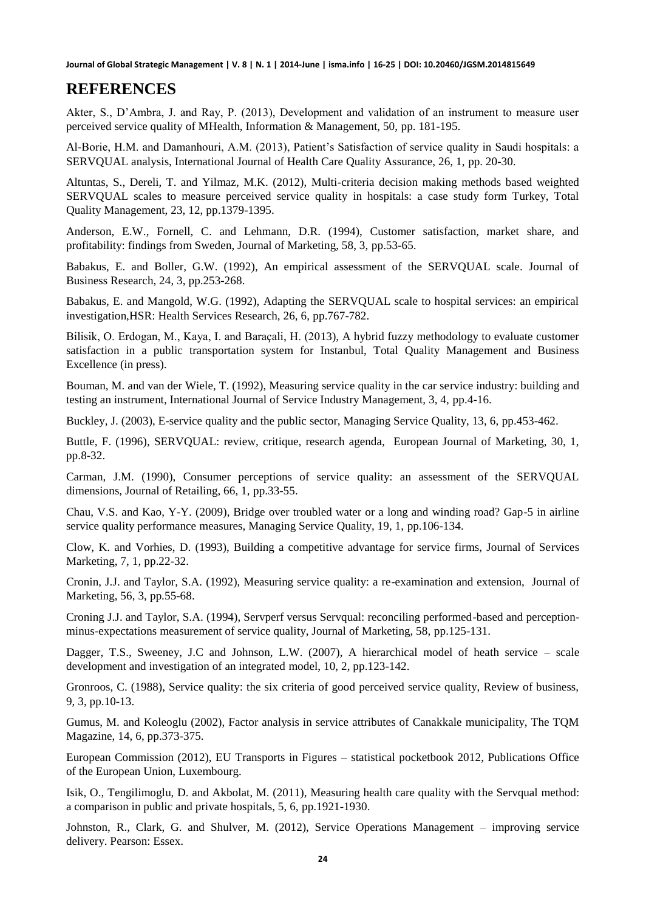#### **REFERENCES**

Akter, S., D'Ambra, J. and Ray, P. (2013), Development and validation of an instrument to measure user perceived service quality of MHealth, Information & Management, 50, pp. 181-195.

Al-Borie, H.M. and Damanhouri, A.M. (2013), Patient's Satisfaction of service quality in Saudi hospitals: a SERVQUAL analysis, International Journal of Health Care Quality Assurance, 26, 1, pp. 20-30.

Altuntas, S., Dereli, T. and Yilmaz, M.K. (2012), Multi-criteria decision making methods based weighted SERVQUAL scales to measure perceived service quality in hospitals: a case study form Turkey, Total Quality Management, 23, 12, pp.1379-1395.

Anderson, E.W., Fornell, C. and Lehmann, D.R. (1994), Customer satisfaction, market share, and profitability: findings from Sweden, Journal of Marketing, 58, 3, pp.53-65.

Babakus, E. and Boller, G.W. (1992), An empirical assessment of the SERVQUAL scale. Journal of Business Research, 24, 3, pp.253-268.

Babakus, E. and Mangold, W.G. (1992), Adapting the SERVQUAL scale to hospital services: an empirical investigation,HSR: Health Services Research, 26, 6, pp.767-782.

Bilisik, O. Erdogan, M., Kaya, I. and Baraçali, H. (2013), A hybrid fuzzy methodology to evaluate customer satisfaction in a public transportation system for Instanbul, Total Quality Management and Business Excellence (in press).

Bouman, M. and van der Wiele, T. (1992), Measuring service quality in the car service industry: building and testing an instrument, International Journal of Service Industry Management, 3, 4, pp.4-16.

Buckley, J. (2003), E-service quality and the public sector, Managing Service Quality, 13, 6, pp.453-462.

Buttle, F. (1996), SERVQUAL: review, critique, research agenda, European Journal of Marketing, 30, 1, pp.8-32.

Carman, J.M. (1990), Consumer perceptions of service quality: an assessment of the SERVQUAL dimensions, Journal of Retailing, 66, 1, pp.33-55.

Chau, V.S. and Kao, Y-Y. (2009), Bridge over troubled water or a long and winding road? Gap-5 in airline service quality performance measures, Managing Service Quality, 19, 1, pp.106-134.

Clow, K. and Vorhies, D. (1993), Building a competitive advantage for service firms, Journal of Services Marketing, 7, 1, pp.22-32.

Cronin, J.J. and Taylor, S.A. (1992), Measuring service quality: a re-examination and extension, Journal of Marketing, 56, 3, pp.55-68.

Croning J.J. and Taylor, S.A. (1994), Servperf versus Servqual: reconciling performed-based and perceptionminus-expectations measurement of service quality, Journal of Marketing, 58, pp.125-131.

Dagger, T.S., Sweeney, J.C and Johnson, L.W. (2007), A hierarchical model of heath service – scale development and investigation of an integrated model, 10, 2, pp.123-142.

Gronroos, C. (1988), Service quality: the six criteria of good perceived service quality, Review of business, 9, 3, pp.10-13.

Gumus, M. and Koleoglu (2002), Factor analysis in service attributes of Canakkale municipality, The TQM Magazine, 14, 6, pp.373-375.

European Commission (2012), EU Transports in Figures – statistical pocketbook 2012, Publications Office of the European Union, Luxembourg.

Isik, O., Tengilimoglu, D. and Akbolat, M. (2011), Measuring health care quality with the Servqual method: a comparison in public and private hospitals, 5, 6, pp.1921-1930.

Johnston, R., Clark, G. and Shulver, M. (2012), Service Operations Management – improving service delivery. Pearson: Essex.